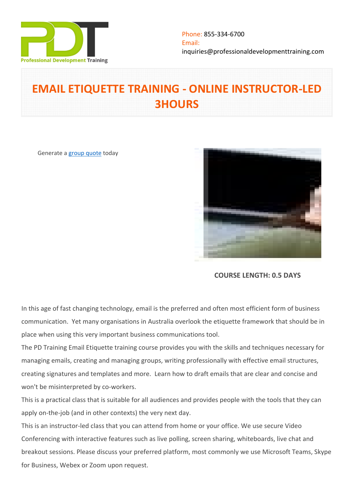

# **EMAIL ETIQUETTE TRAINING - ONLINE INSTRUCTOR-LED 3HOURS**

Generate a [group quote](https://professionaldevelopmenttraining.com/inhouse-training-quote?cse=PDTE543_C) today



**COURSE LENGTH: 0.5 DAYS**

In this age of fast changing technology, email is the preferred and often most efficient form of business communication. Yet many organisations in Australia overlook the etiquette framework that should be in place when using this very important business communications tool.

The PD Training Email Etiquette training course provides you with the skills and techniques necessary for managing emails, creating and managing groups, writing professionally with effective email structures, creating signatures and templates and more. Learn how to draft emails that are clear and concise and won't be misinterpreted by co-workers.

This is a practical class that is suitable for all audiences and provides people with the tools that they can apply on-the-job (and in other contexts) the very next day.

This is an instructor-led class that you can attend from home or your office. We use secure Video Conferencing with interactive features such as live polling, screen sharing, whiteboards, live chat and breakout sessions. Please discuss your preferred platform, most commonly we use Microsoft Teams, Skype for Business, Webex or Zoom upon request.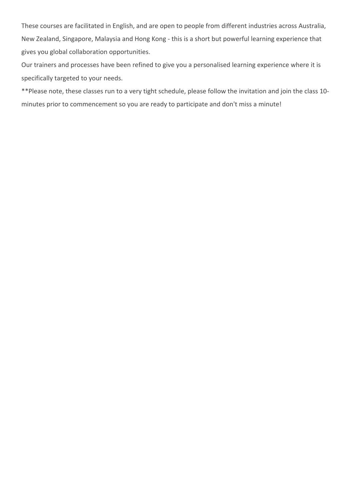These courses are facilitated in English, and are open to people from different industries across Australia, New Zealand, Singapore, Malaysia and Hong Kong - this is a short but powerful learning experience that gives you global collaboration opportunities.

Our trainers and processes have been refined to give you a personalised learning experience where it is specifically targeted to your needs.

\*\*Please note, these classes run to a very tight schedule, please follow the invitation and join the class 10 minutes prior to commencement so you are ready to participate and don't miss a minute!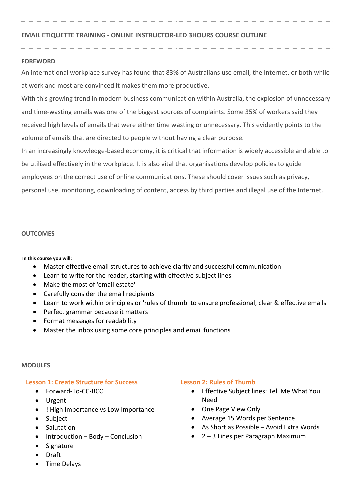# **EMAIL ETIQUETTE TRAINING - ONLINE INSTRUCTOR-LED 3HOURS COURSE OUTLINE**

# **FOREWORD**

An international workplace survey has found that 83% of Australians use email, the Internet, or both while at work and most are convinced it makes them more productive.

With this growing trend in modern business communication within Australia, the explosion of unnecessary and time-wasting emails was one of the biggest sources of complaints. Some 35% of workers said they received high levels of emails that were either time wasting or unnecessary. This evidently points to the volume of emails that are directed to people without having a clear purpose.

In an increasingly knowledge-based economy, it is critical that information is widely accessible and able to be utilised effectively in the workplace. It is also vital that organisations develop policies to guide employees on the correct use of online communications. These should cover issues such as privacy, personal use, monitoring, downloading of content, access by third parties and illegal use of the Internet.

## **OUTCOMES**

#### **In this course you will:**

- Master effective email structures to achieve clarity and successful communication
- Learn to write for the reader, starting with effective subject lines
- Make the most of 'email estate'
- Carefully consider the email recipients
- Learn to work within principles or 'rules of thumb' to ensure professional, clear & effective emails
- Perfect grammar because it matters
- Format messages for readability
- Master the inbox using some core principles and email functions

#### **MODULES**

#### **Lesson 1: Create Structure for Success**

- Forward-To-CC-BCC
- Urgent
- ! High Importance vs Low Importance
- Subject
- Salutation
- $\bullet$  Introduction Body Conclusion
- Signature
- Draft
- Time Delays

# **Lesson 2: Rules of Thumb**

- Effective Subject lines: Tell Me What You Need
- One Page View Only
- Average 15 Words per Sentence
- As Short as Possible Avoid Extra Words
- 2 3 Lines per Paragraph Maximum